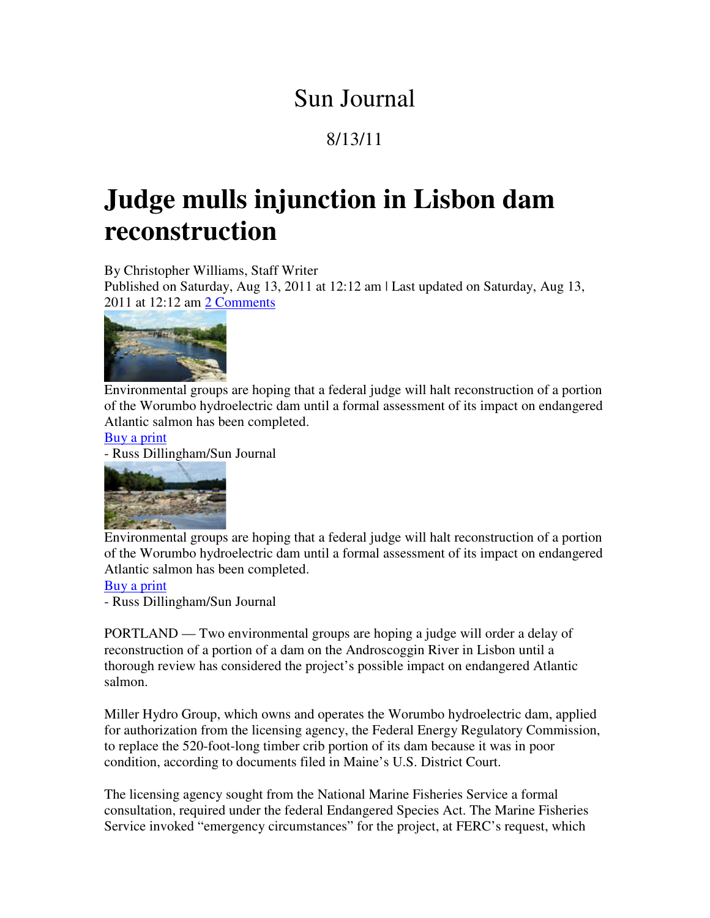## Sun Journal

### 8/13/11

# **Judge mulls injunction in Lisbon dam reconstruction**

By Christopher Williams, Staff Writer

Published on Saturday, Aug 13, 2011 at 12:12 am | Last updated on Saturday, Aug 13, 2011 at 12:12 am 2 Comments



Environmental groups are hoping that a federal judge will halt reconstruction of a portion of the Worumbo hydroelectric dam until a formal assessment of its impact on endangered Atlantic salmon has been completed.

### Buy a print

- Russ Dillingham/Sun Journal



Environmental groups are hoping that a federal judge will halt reconstruction of a portion of the Worumbo hydroelectric dam until a formal assessment of its impact on endangered Atlantic salmon has been completed.

#### Buy a print

- Russ Dillingham/Sun Journal

PORTLAND — Two environmental groups are hoping a judge will order a delay of reconstruction of a portion of a dam on the Androscoggin River in Lisbon until a thorough review has considered the project's possible impact on endangered Atlantic salmon.

Miller Hydro Group, which owns and operates the Worumbo hydroelectric dam, applied for authorization from the licensing agency, the Federal Energy Regulatory Commission, to replace the 520-foot-long timber crib portion of its dam because it was in poor condition, according to documents filed in Maine's U.S. District Court.

The licensing agency sought from the National Marine Fisheries Service a formal consultation, required under the federal Endangered Species Act. The Marine Fisheries Service invoked "emergency circumstances" for the project, at FERC's request, which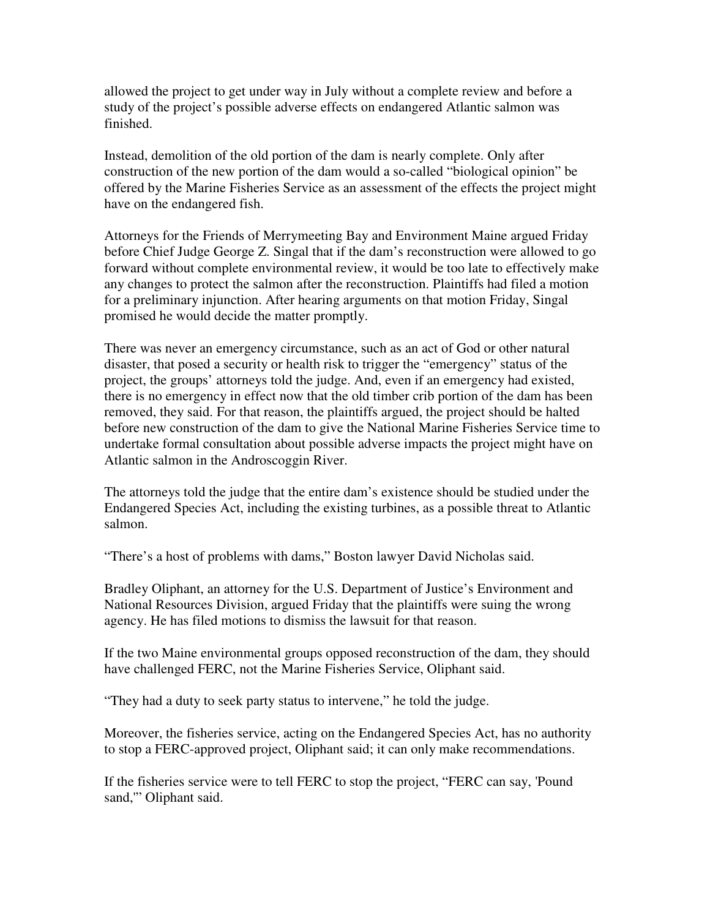allowed the project to get under way in July without a complete review and before a study of the project's possible adverse effects on endangered Atlantic salmon was finished.

Instead, demolition of the old portion of the dam is nearly complete. Only after construction of the new portion of the dam would a so-called "biological opinion" be offered by the Marine Fisheries Service as an assessment of the effects the project might have on the endangered fish.

Attorneys for the Friends of Merrymeeting Bay and Environment Maine argued Friday before Chief Judge George Z. Singal that if the dam's reconstruction were allowed to go forward without complete environmental review, it would be too late to effectively make any changes to protect the salmon after the reconstruction. Plaintiffs had filed a motion for a preliminary injunction. After hearing arguments on that motion Friday, Singal promised he would decide the matter promptly.

There was never an emergency circumstance, such as an act of God or other natural disaster, that posed a security or health risk to trigger the "emergency" status of the project, the groups' attorneys told the judge. And, even if an emergency had existed, there is no emergency in effect now that the old timber crib portion of the dam has been removed, they said. For that reason, the plaintiffs argued, the project should be halted before new construction of the dam to give the National Marine Fisheries Service time to undertake formal consultation about possible adverse impacts the project might have on Atlantic salmon in the Androscoggin River.

The attorneys told the judge that the entire dam's existence should be studied under the Endangered Species Act, including the existing turbines, as a possible threat to Atlantic salmon.

"There's a host of problems with dams," Boston lawyer David Nicholas said.

Bradley Oliphant, an attorney for the U.S. Department of Justice's Environment and National Resources Division, argued Friday that the plaintiffs were suing the wrong agency. He has filed motions to dismiss the lawsuit for that reason.

If the two Maine environmental groups opposed reconstruction of the dam, they should have challenged FERC, not the Marine Fisheries Service, Oliphant said.

"They had a duty to seek party status to intervene," he told the judge.

Moreover, the fisheries service, acting on the Endangered Species Act, has no authority to stop a FERC-approved project, Oliphant said; it can only make recommendations.

If the fisheries service were to tell FERC to stop the project, "FERC can say, 'Pound sand," Oliphant said.